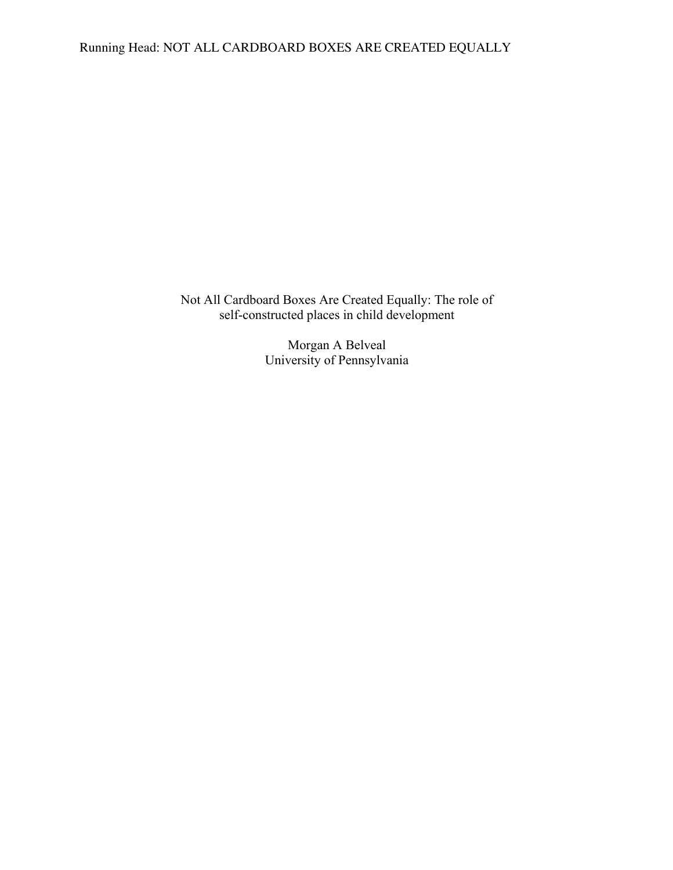Running Head: NOT ALL CARDBOARD BOXES ARE CREATED EQUALLY

Not All Cardboard Boxes Are Created Equally: The role of self-constructed places in child development

> Morgan A Belveal University of Pennsylvania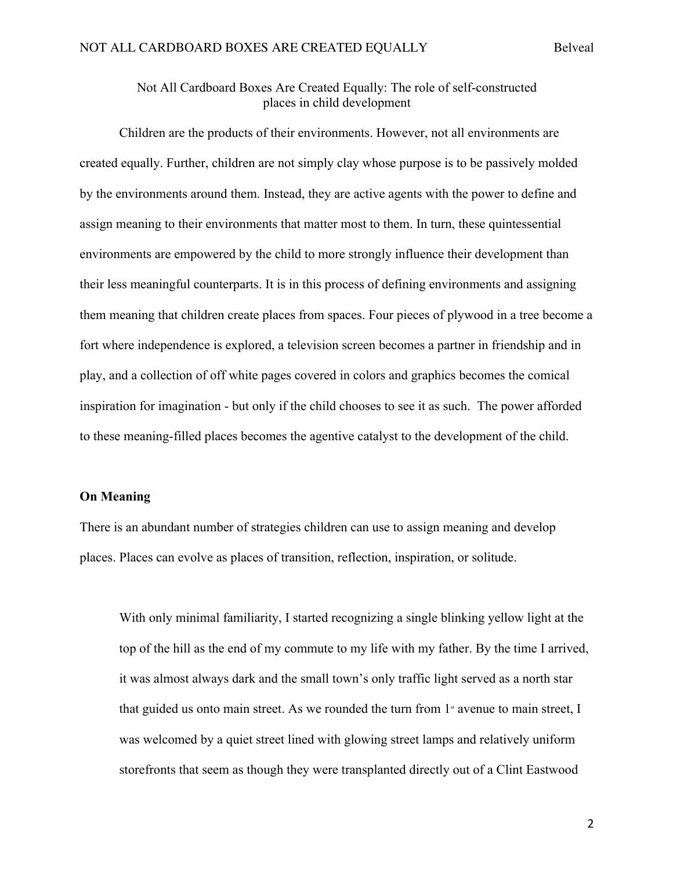## Not All Cardboard Boxes Are Created Equally: The role of self-constructed places in child development

Children are the products of their environments. However, not all environments are created equally. Further, children are not simply clay whose purpose is to be passively molded by the environments around them. Instead, they are active agents with the power to define and assign meaning to their environments that matter most to them. In turn, these quintessential environments are empowered by the child to more strongly influence their development than their less meaningful counterparts. It is in this process of defining environments and assigning them meaning that children create places from spaces. Four pieces of plywood in a tree become a fort where independence is explored, a television screen becomes a partner in friendship and in play, and a collection of off white pages covered in colors and graphics becomes the comical inspiration for imagination - but only if the child chooses to see it as such. The power afforded to these meaning-filled places becomes the agentive catalyst to the development of the child.

## **On Meaning**

There is an abundant number of strategies children can use to assign meaning and develop places. Places can evolve as places of transition, reflection, inspiration, or solitude.

With only minimal familiarity, I started recognizing a single blinking yellow light at the top of the hill as the end of my commute to my life with my father. By the time I arrived, it was almost always dark and the small town's only traffic light served as a north star that guided us onto main street. As we rounded the turn from  $1$ <sup>\*</sup> avenue to main street, I was welcomed by a quiet street lined with glowing street lamps and relatively uniform storefronts that seem as though they were transplanted directly out of a Clint Eastwood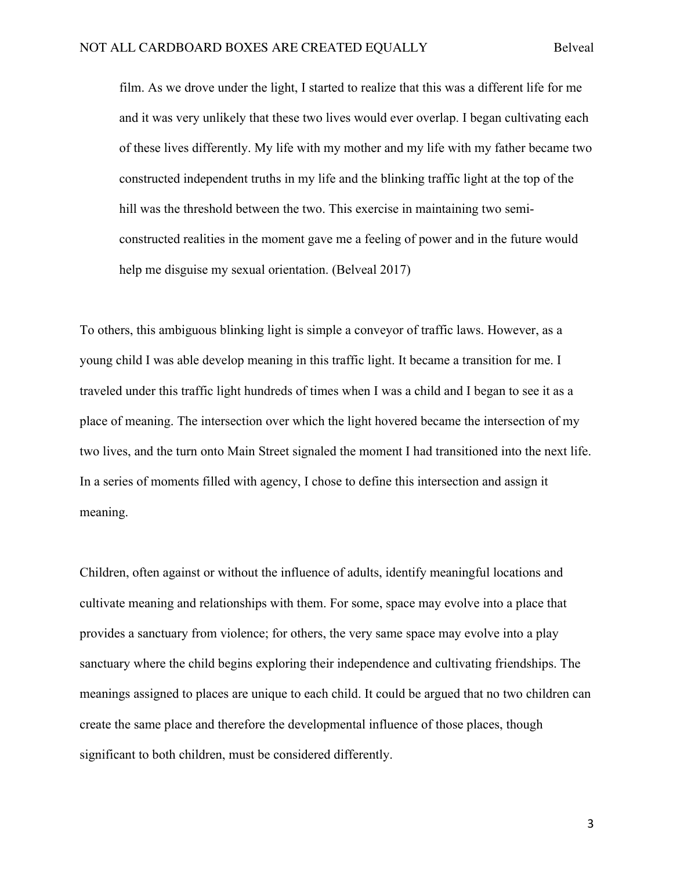film. As we drove under the light, I started to realize that this was a different life for me and it was very unlikely that these two lives would ever overlap. I began cultivating each of these lives differently. My life with my mother and my life with my father became two constructed independent truths in my life and the blinking traffic light at the top of the hill was the threshold between the two. This exercise in maintaining two semiconstructed realities in the moment gave me a feeling of power and in the future would help me disguise my sexual orientation. (Belveal 2017)

To others, this ambiguous blinking light is simple a conveyor of traffic laws. However, as a young child I was able develop meaning in this traffic light. It became a transition for me. I traveled under this traffic light hundreds of times when I was a child and I began to see it as a place of meaning. The intersection over which the light hovered became the intersection of my two lives, and the turn onto Main Street signaled the moment I had transitioned into the next life. In a series of moments filled with agency, I chose to define this intersection and assign it meaning.

Children, often against or without the influence of adults, identify meaningful locations and cultivate meaning and relationships with them. For some, space may evolve into a place that provides a sanctuary from violence; for others, the very same space may evolve into a play sanctuary where the child begins exploring their independence and cultivating friendships. The meanings assigned to places are unique to each child. It could be argued that no two children can create the same place and therefore the developmental influence of those places, though significant to both children, must be considered differently.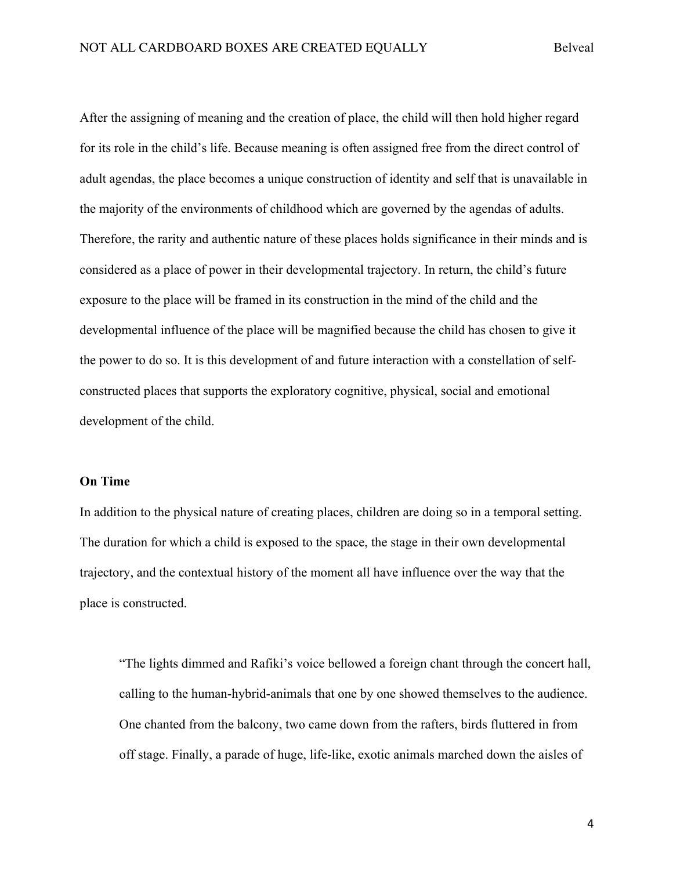After the assigning of meaning and the creation of place, the child will then hold higher regard for its role in the child's life. Because meaning is often assigned free from the direct control of adult agendas, the place becomes a unique construction of identity and self that is unavailable in the majority of the environments of childhood which are governed by the agendas of adults. Therefore, the rarity and authentic nature of these places holds significance in their minds and is considered as a place of power in their developmental trajectory. In return, the child's future exposure to the place will be framed in its construction in the mind of the child and the developmental influence of the place will be magnified because the child has chosen to give it the power to do so. It is this development of and future interaction with a constellation of selfconstructed places that supports the exploratory cognitive, physical, social and emotional development of the child.

## **On Time**

In addition to the physical nature of creating places, children are doing so in a temporal setting. The duration for which a child is exposed to the space, the stage in their own developmental trajectory, and the contextual history of the moment all have influence over the way that the place is constructed.

"The lights dimmed and Rafiki's voice bellowed a foreign chant through the concert hall, calling to the human-hybrid-animals that one by one showed themselves to the audience. One chanted from the balcony, two came down from the rafters, birds fluttered in from off stage. Finally, a parade of huge, life-like, exotic animals marched down the aisles of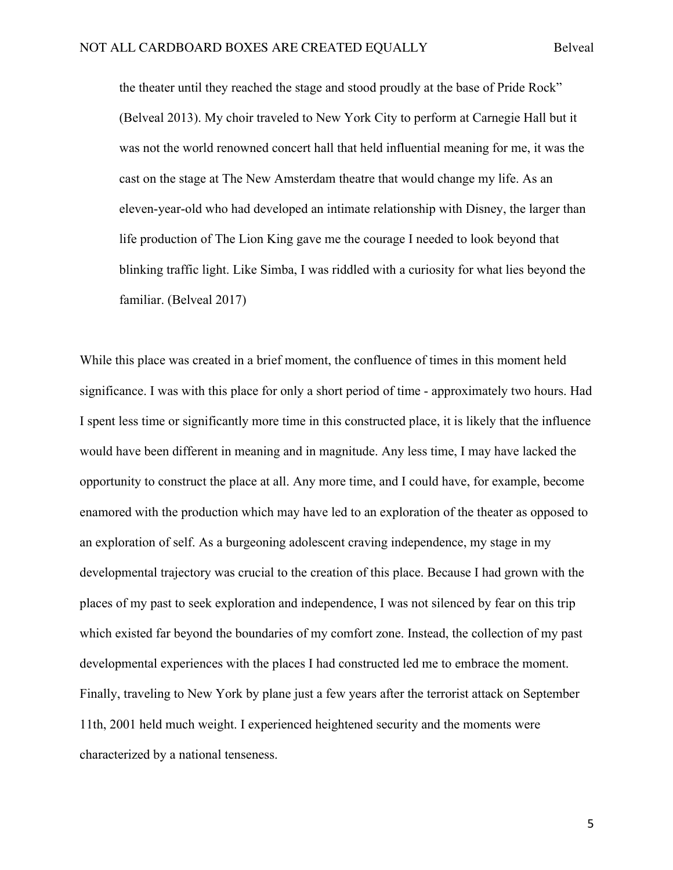the theater until they reached the stage and stood proudly at the base of Pride Rock" (Belveal 2013). My choir traveled to New York City to perform at Carnegie Hall but it was not the world renowned concert hall that held influential meaning for me, it was the cast on the stage at The New Amsterdam theatre that would change my life. As an eleven-year-old who had developed an intimate relationship with Disney, the larger than life production of The Lion King gave me the courage I needed to look beyond that blinking traffic light. Like Simba, I was riddled with a curiosity for what lies beyond the familiar. (Belveal 2017)

While this place was created in a brief moment, the confluence of times in this moment held significance. I was with this place for only a short period of time - approximately two hours. Had I spent less time or significantly more time in this constructed place, it is likely that the influence would have been different in meaning and in magnitude. Any less time, I may have lacked the opportunity to construct the place at all. Any more time, and I could have, for example, become enamored with the production which may have led to an exploration of the theater as opposed to an exploration of self. As a burgeoning adolescent craving independence, my stage in my developmental trajectory was crucial to the creation of this place. Because I had grown with the places of my past to seek exploration and independence, I was not silenced by fear on this trip which existed far beyond the boundaries of my comfort zone. Instead, the collection of my past developmental experiences with the places I had constructed led me to embrace the moment. Finally, traveling to New York by plane just a few years after the terrorist attack on September 11th, 2001 held much weight. I experienced heightened security and the moments were characterized by a national tenseness.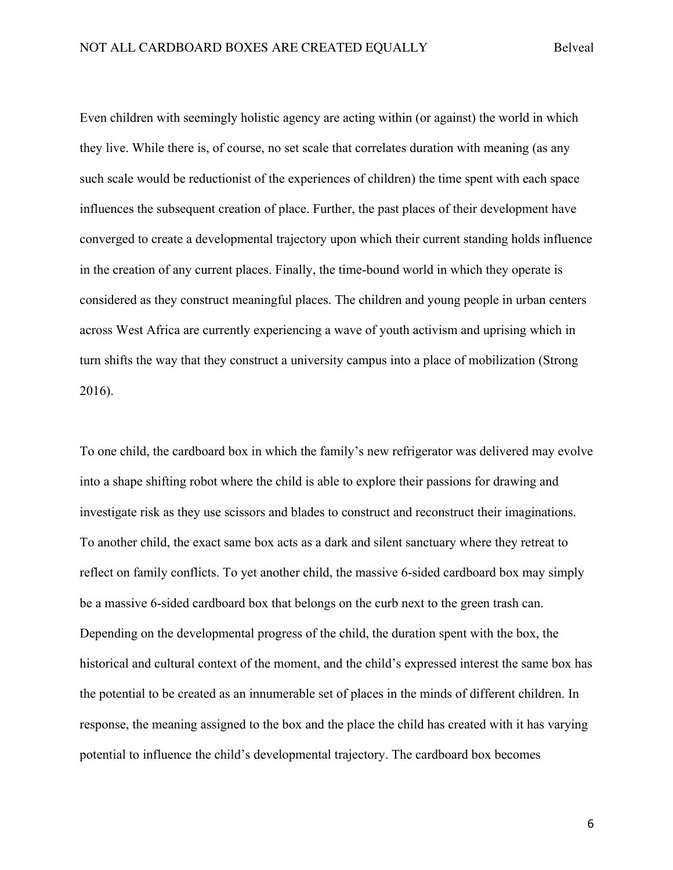Even children with seemingly holistic agency are acting within (or against) the world in which they live. While there is, of course, no set scale that correlates duration with meaning (as any such scale would be reductionist of the experiences of children) the time spent with each space influences the subsequent creation of place. Further, the past places of their development have converged to create a developmental trajectory upon which their current standing holds influence in the creation of any current places. Finally, the time-bound world in which they operate is considered as they construct meaningful places. The children and young people in urban centers across West Africa are currently experiencing a wave of youth activism and uprising which in turn shifts the way that they construct a university campus into a place of mobilization (Strong 2016).

To one child, the cardboard box in which the family's new refrigerator was delivered may evolve into a shape shifting robot where the child is able to explore their passions for drawing and investigate risk as they use scissors and blades to construct and reconstruct their imaginations. To another child, the exact same box acts as a dark and silent sanctuary where they retreat to reflect on family conflicts. To yet another child, the massive 6-sided cardboard box may simply be a massive 6-sided cardboard box that belongs on the curb next to the green trash can. Depending on the developmental progress of the child, the duration spent with the box, the historical and cultural context of the moment, and the child's expressed interest the same box has the potential to be created as an innumerable set of places in the minds of different children. In response, the meaning assigned to the box and the place the child has created with it has varying potential to influence the child's developmental trajectory. The cardboard box becomes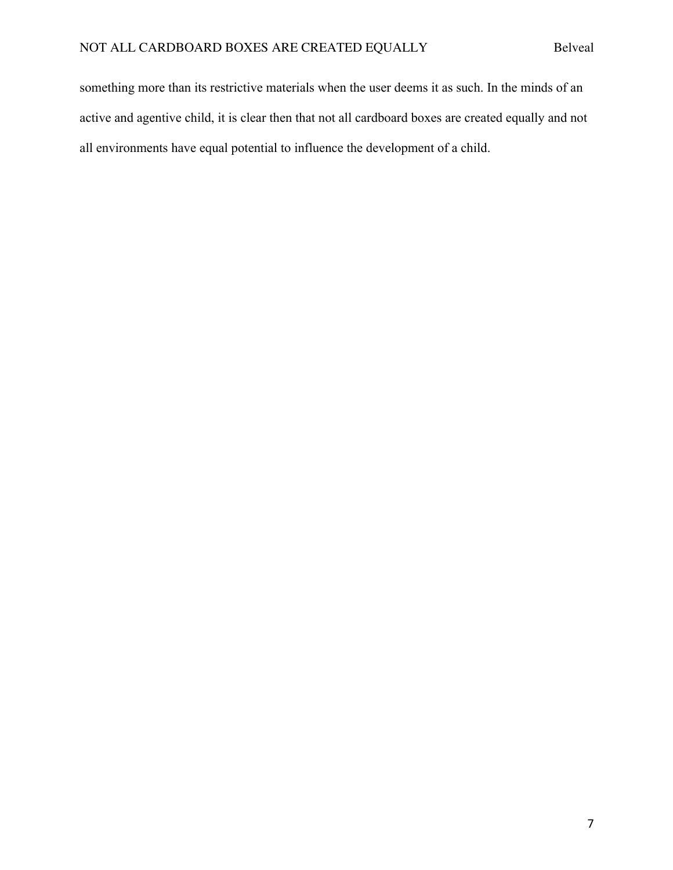something more than its restrictive materials when the user deems it as such. In the minds of an active and agentive child, it is clear then that not all cardboard boxes are created equally and not all environments have equal potential to influence the development of a child.